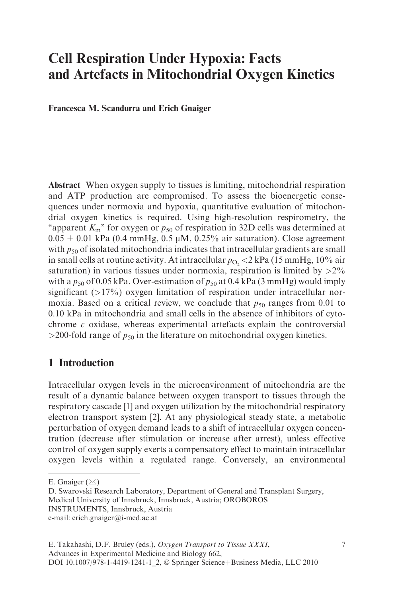# Cell Respiration Under Hypoxia: Facts and Artefacts in Mitochondrial Oxygen Kinetics

Francesca M. Scandurra and Erich Gnaiger

Abstract When oxygen supply to tissues is limiting, mitochondrial respiration and ATP production are compromised. To assess the bioenergetic consequences under normoxia and hypoxia, quantitative evaluation of mitochondrial oxygen kinetics is required. Using high-resolution respirometry, the "apparent  $K<sub>m</sub>$ " for oxygen or  $p_{50}$  of respiration in 32D cells was determined at  $0.05 \pm 0.01$  kPa (0.4 mmHg, 0.5 µM, 0.25% air saturation). Close agreement with  $p_{50}$  of isolated mitochondria indicates that intracellular gradients are small in small cells at routine activity. At intracellular  $p_{\text{O}_2}$  < 2 kPa (15 mmHg, 10% air saturation) in various tissues under normoxia, respiration is limited by  $>2\%$ with a  $p_{50}$  of 0.05 kPa. Over-estimation of  $p_{50}$  at 0.4 kPa (3 mmHg) would imply significant  $(>17\%)$  oxygen limitation of respiration under intracellular normoxia. Based on a critical review, we conclude that  $p_{50}$  ranges from 0.01 to 0.10 kPa in mitochondria and small cells in the absence of inhibitors of cytochrome  $c$  oxidase, whereas experimental artefacts explain the controversial  $>$ 200-fold range of  $p_{50}$  in the literature on mitochondrial oxygen kinetics.

## 1 Introduction

Intracellular oxygen levels in the microenvironment of mitochondria are the result of a dynamic balance between oxygen transport to tissues through the respiratory cascade [1] and oxygen utilization by the mitochondrial respiratory electron transport system [2]. At any physiological steady state, a metabolic perturbation of oxygen demand leads to a shift of intracellular oxygen concentration (decrease after stimulation or increase after arrest), unless effective control of oxygen supply exerts a compensatory effect to maintain intracellular oxygen levels within a regulated range. Conversely, an environmental

E. Gnaiger  $(\boxtimes)$ 

D. Swarovski Research Laboratory, Department of General and Transplant Surgery, Medical University of Innsbruck, Innsbruck, Austria; OROBOROS

INSTRUMENTS, Innsbruck, Austria

e-mail: erich.gnaiger@i-med.ac.at

E. Takahashi, D.F. Bruley (eds.), Oxygen Transport to Tissue XXXI, Advances in Experimental Medicine and Biology 662, DOI 10.1007/978-1-4419-1241-1\_2, © Springer Science+Business Media, LLC 2010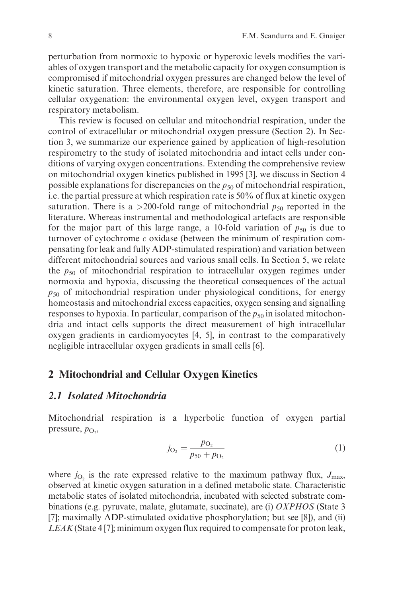perturbation from normoxic to hypoxic or hyperoxic levels modifies the variables of oxygen transport and the metabolic capacity for oxygen consumption is compromised if mitochondrial oxygen pressures are changed below the level of kinetic saturation. Three elements, therefore, are responsible for controlling cellular oxygenation: the environmental oxygen level, oxygen transport and respiratory metabolism.

This review is focused on cellular and mitochondrial respiration, under the control of extracellular or mitochondrial oxygen pressure (Section 2). In Section 3, we summarize our experience gained by application of high-resolution respirometry to the study of isolated mitochondria and intact cells under conditions of varying oxygen concentrations. Extending the comprehensive review on mitochondrial oxygen kinetics published in 1995 [3], we discuss in Section 4 possible explanations for discrepancies on the  $p_{50}$  of mitochondrial respiration, i.e. the partial pressure at which respiration rate is 50% of flux at kinetic oxygen saturation. There is a >200-fold range of mitochondrial  $p_{50}$  reported in the literature. Whereas instrumental and methodological artefacts are responsible for the major part of this large range, a 10-fold variation of  $p_{50}$  is due to turnover of cytochrome  $c$  oxidase (between the minimum of respiration compensating for leak and fully ADP-stimulated respiration) and variation between different mitochondrial sources and various small cells. In Section 5, we relate the  $p_{50}$  of mitochondrial respiration to intracellular oxygen regimes under normoxia and hypoxia, discussing the theoretical consequences of the actual  $p_{50}$  of mitochondrial respiration under physiological conditions, for energy homeostasis and mitochondrial excess capacities, oxygen sensing and signalling responses to hypoxia. In particular, comparison of the  $p_{50}$  in isolated mitochondria and intact cells supports the direct measurement of high intracellular oxygen gradients in cardiomyocytes [4, 5], in contrast to the comparatively negligible intracellular oxygen gradients in small cells [6].

#### 2 Mitochondrial and Cellular Oxygen Kinetics

#### 2.1 Isolated Mitochondria

Mitochondrial respiration is a hyperbolic function of oxygen partial pressure,  $p_{\text{O}_2}$ ,

$$
j_{\text{O}_2} = \frac{p_{\text{O}_2}}{p_{50} + p_{\text{O}_2}}\tag{1}
$$

where  $j_{\text{O}2}$  is the rate expressed relative to the maximum pathway flux,  $J_{\text{max}}$ , observed at kinetic oxygen saturation in a defined metabolic state. Characteristic metabolic states of isolated mitochondria, incubated with selected substrate combinations (e.g. pyruvate, malate, glutamate, succinate), are (i) OXPHOS (State 3 [7]; maximally ADP-stimulated oxidative phosphorylation; but see [8]), and (ii) LEAK (State 4 [7]; minimum oxygen flux required to compensate for proton leak,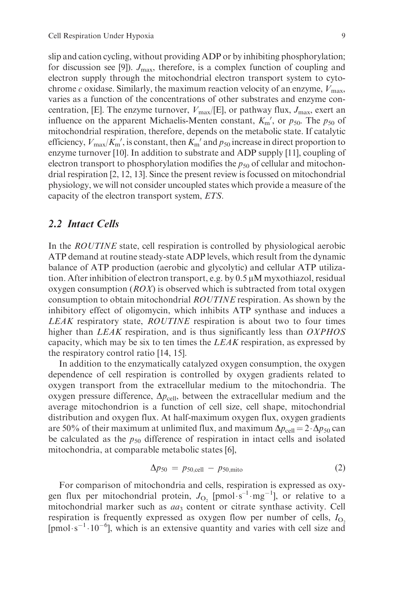slip and cation cycling, without providing ADP or by inhibiting phosphorylation; for discussion see [9]).  $J_{\text{max}}$ , therefore, is a complex function of coupling and electron supply through the mitochondrial electron transport system to cytochrome c oxidase. Similarly, the maximum reaction velocity of an enzyme,  $V_{\text{max}}$ , varies as a function of the concentrations of other substrates and enzyme concentration, [E]. The enzyme turnover,  $V_{\text{max}}/[E]$ , or pathway flux,  $J_{\text{max}}$ , exert an influence on the apparent Michaelis-Menten constant,  $K_{\rm m}$ <sup>'</sup>, or  $p_{50}$ . The  $p_{50}$  of mitochondrial respiration, therefore, depends on the metabolic state. If catalytic efficiency,  $V_{\text{max}}/K_{\text{m}}'$ , is constant, then  $K_{\text{m}}'$  and  $p_{50}$  increase in direct proportion to enzyme turnover [10]. In addition to substrate and ADP supply [11], coupling of electron transport to phosphorylation modifies the  $p_{50}$  of cellular and mitochondrial respiration [2, 12, 13]. Since the present review is focussed on mitochondrial physiology, we will not consider uncoupled states which provide a measure of the capacity of the electron transport system, ETS.

#### 2.2 Intact Cells

In the ROUTINE state, cell respiration is controlled by physiological aerobic ATP demand at routine steady-state ADP levels, which result from the dynamic balance of ATP production (aerobic and glycolytic) and cellular ATP utilization. After inhibition of electron transport, e.g. by  $0.5 \mu M$  myxothiazol, residual oxygen consumption  $(ROX)$  is observed which is subtracted from total oxygen consumption to obtain mitochondrial ROUTINE respiration. As shown by the inhibitory effect of oligomycin, which inhibits ATP synthase and induces a LEAK respiratory state, ROUTINE respiration is about two to four times higher than LEAK respiration, and is thus significantly less than OXPHOS capacity, which may be six to ten times the  $LEAK$  respiration, as expressed by the respiratory control ratio [14, 15].

In addition to the enzymatically catalyzed oxygen consumption, the oxygen dependence of cell respiration is controlled by oxygen gradients related to oxygen transport from the extracellular medium to the mitochondria. The oxygen pressure difference,  $\Delta p_{cell}$ , between the extracellular medium and the average mitochondrion is a function of cell size, cell shape, mitochondrial distribution and oxygen flux. At half-maximum oxygen flux, oxygen gradients are 50% of their maximum at unlimited flux, and maximum  $\Delta p_{cell} = 2 \cdot \Delta p_{50}$  can be calculated as the  $p_{50}$  difference of respiration in intact cells and isolated mitochondria, at comparable metabolic states [6],

$$
\Delta p_{50} = p_{50, \text{cell}} - p_{50, \text{mito}} \tag{2}
$$

For comparison of mitochondria and cells, respiration is expressed as oxygen flux per mitochondrial protein,  $J_{\text{O}_2}$  [pmol $\cdot \text{s}^{-1} \cdot \text{mg}^{-1}$ ], or relative to a mitochondrial marker such as aa3 content or citrate synthase activity. Cell respiration is frequently expressed as oxygen flow per number of cells,  $I_{\text{O}_2}$ [pmol·s<sup>-1</sup>·10<sup>-6</sup>], which is an extensive quantity and varies with cell size and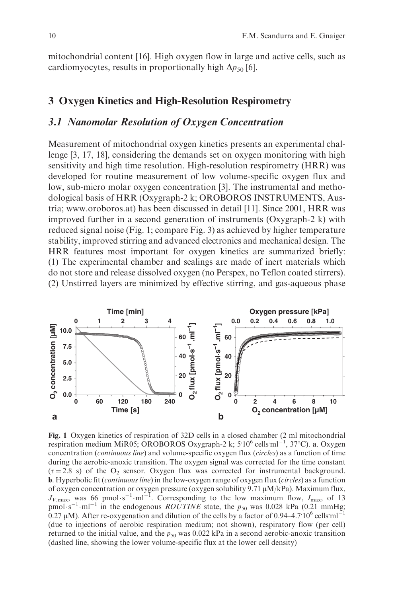mitochondrial content [16]. High oxygen flow in large and active cells, such as cardiomyocytes, results in proportionally high  $\Delta p_{50}$  [6].

#### 3 Oxygen Kinetics and High-Resolution Respirometry

#### 3.1 Nanomolar Resolution of Oxygen Concentration

Measurement of mitochondrial oxygen kinetics presents an experimental challenge [3, 17, 18], considering the demands set on oxygen monitoring with high sensitivity and high time resolution. High-resolution respirometry (HRR) was developed for routine measurement of low volume-specific oxygen flux and low, sub-micro molar oxygen concentration [3]. The instrumental and methodological basis of HRR (Oxygraph-2 k; OROBOROS INSTRUMENTS, Austria; www.oroboros.at) has been discussed in detail [11]. Since 2001, HRR was improved further in a second generation of instruments (Oxygraph-2 k) with reduced signal noise (Fig. 1; compare Fig. 3) as achieved by higher temperature stability, improved stirring and advanced electronics and mechanical design. The HRR features most important for oxygen kinetics are summarized briefly: (1) The experimental chamber and sealings are made of inert materials which do not store and release dissolved oxygen (no Perspex, no Teflon coated stirrers). (2) Unstirred layers are minimized by effective stirring, and gas-aqueous phase



Fig. 1 Oxygen kinetics of respiration of 32D cells in a closed chamber (2 ml mitochondrial respiration medium MiR05; OROBOROS Oxygraph-2 k;  $5.10^6$  cells ml<sup>-1</sup>, 37°C). a. Oxygen concentration (continuous line) and volume-specific oxygen flux (circles) as a function of time during the aerobic-anoxic transition. The oxygen signal was corrected for the time constant  $(\tau = 2.8 \text{ s})$  of the O<sub>2</sub> sensor. Oxygen flux was corrected for instrumental background. **b**. Hyperbolic fit (continuous line) in the low-oxygen range of oxygen flux (circles) as a function of oxygen concentration or oxygen pressure (oxygen solubility 9.71 mM/kPa). Maximum flux,  $J_{V,\text{max}}$ , was 66 pmol·s<sup>-1</sup>·ml<sup>-1</sup>. Corresponding to the low maximum flow,  $I_{\text{max}}$ , of 13 pmol·s<sup>-1</sup>·ml<sup>-1</sup> in the endogenous *ROUTINE* state, the  $p_{50}$  was 0.028 kPa (0.21 mmHg; 0.27  $\mu$ M). After re-oxygenation and dilution of the cells by a factor of 0.94–4.7 10<sup>6</sup> cells ml<sup>-1</sup> (due to injections of aerobic respiration medium; not shown), respiratory flow (per cell) returned to the initial value, and the  $p_{50}$  was 0.022 kPa in a second aerobic-anoxic transition (dashed line, showing the lower volume-specific flux at the lower cell density)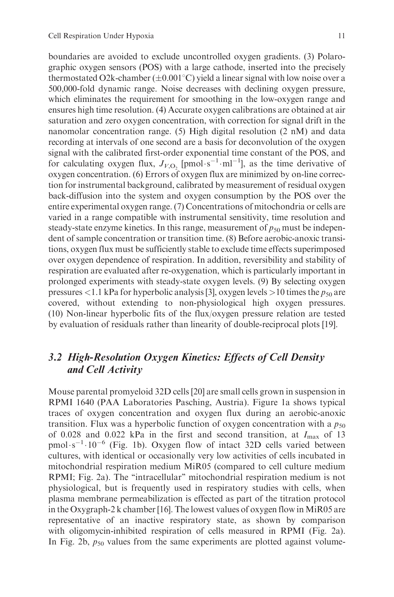boundaries are avoided to exclude uncontrolled oxygen gradients. (3) Polarographic oxygen sensors (POS) with a large cathode, inserted into the precisely thermostated O2k-chamber ( $\pm 0.001^{\circ}\mathrm{C}$ ) yield a linear signal with low noise over a 500,000-fold dynamic range. Noise decreases with declining oxygen pressure, which eliminates the requirement for smoothing in the low-oxygen range and ensures high time resolution. (4) Accurate oxygen calibrations are obtained at air saturation and zero oxygen concentration, with correction for signal drift in the nanomolar concentration range. (5) High digital resolution (2 nM) and data recording at intervals of one second are a basis for deconvolution of the oxygen signal with the calibrated first-order exponential time constant of the POS, and for calculating oxygen flux,  $J_{V,\text{O}_2}$  [pmol·s<sup>-1</sup>·ml<sup>-1</sup>], as the time derivative of oxygen concentration. (6) Errors of oxygen flux are minimized by on-line correction for instrumental background, calibrated by measurement of residual oxygen back-diffusion into the system and oxygen consumption by the POS over the entire experimental oxygen range. (7) Concentrations of mitochondria or cells are varied in a range compatible with instrumental sensitivity, time resolution and steady-state enzyme kinetics. In this range, measurement of  $p_{50}$  must be independent of sample concentration or transition time. (8) Before aerobic-anoxic transitions, oxygen flux must be sufficiently stable to exclude time effects superimposed over oxygen dependence of respiration. In addition, reversibility and stability of respiration are evaluated after re-oxygenation, which is particularly important in prolonged experiments with steady-state oxygen levels. (9) By selecting oxygen pressures <1.1 kPa for hyperbolic analysis [3], oxygen levels >10 times the  $p_{50}$  are covered, without extending to non-physiological high oxygen pressures. (10) Non-linear hyperbolic fits of the flux/oxygen pressure relation are tested by evaluation of residuals rather than linearity of double-reciprocal plots [19].

# 3.2 High-Resolution Oxygen Kinetics: Effects of Cell Density and Cell Activity

Mouse parental promyeloid 32D cells [20] are small cells grown in suspension in RPMI 1640 (PAA Laboratories Pasching, Austria). Figure 1a shows typical traces of oxygen concentration and oxygen flux during an aerobic-anoxic transition. Flux was a hyperbolic function of oxygen concentration with a  $p_{50}$ of 0.028 and 0.022 kPa in the first and second transition, at  $I_{\text{max}}$  of 13  $pmol·s^{-1}·10^{-6}$  (Fig. 1b). Oxygen flow of intact 32D cells varied between cultures, with identical or occasionally very low activities of cells incubated in mitochondrial respiration medium MiR05 (compared to cell culture medium RPMI; Fig. 2a). The ''intracellular'' mitochondrial respiration medium is not physiological, but is frequently used in respiratory studies with cells, when plasma membrane permeabilization is effected as part of the titration protocol in the Oxygraph-2 k chamber [16]. The lowest values of oxygen flow in MiR05 are representative of an inactive respiratory state, as shown by comparison with oligomycin-inhibited respiration of cells measured in RPMI (Fig. 2a). In Fig. 2b,  $p_{50}$  values from the same experiments are plotted against volume-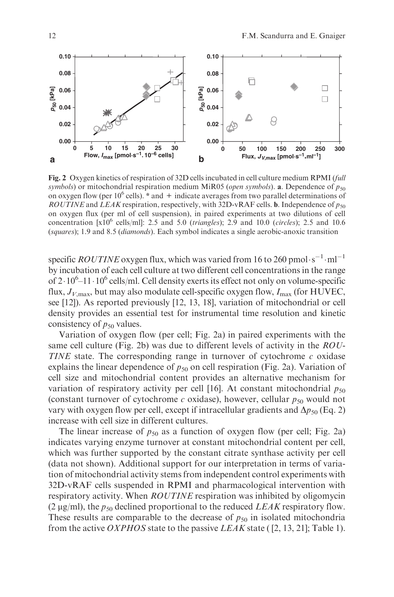

Fig. 2 Oxygen kinetics of respiration of 32D cells incubated in cell culture medium RPMI (full symbols) or mitochondrial respiration medium MiR05 (open symbols). a. Dependence of  $p_{50}$ on oxygen flow (per  $10^6$  cells). \* and + indicate averages from two parallel determinations of ROUTINE and LEAK respiration, respectively, with 32D-vRAF cells. **b**. Independence of  $p_{50}$ on oxygen flux (per ml of cell suspension), in paired experiments at two dilutions of cell concentration  $[x10^6 \text{ cells/ml}]$ : 2.5 and 5.0 (*triangles*); 2.9 and 10.0 (*circles*); 2.5 and 10.6 (squares); 1.9 and 8.5 (diamonds). Each symbol indicates a single aerobic-anoxic transition

specific *ROUTINE* oxygen flux, which was varied from 16 to 260 pmol $\cdot$ s $^{-1}\cdot$ ml $^{-1}$ by incubation of each cell culture at two different cell concentrations in the range of  $2 \cdot 10^6 - 11 \cdot 10^6$  cells/ml. Cell density exerts its effect not only on volume-specific flux,  $J_{V, \text{max}}$ , but may also modulate cell-specific oxygen flow,  $I_{\text{max}}$  (for HUVEC, see [12]). As reported previously [12, 13, 18], variation of mitochondrial or cell density provides an essential test for instrumental time resolution and kinetic consistency of  $p_{50}$  values.

Variation of oxygen flow (per cell; Fig. 2a) in paired experiments with the same cell culture (Fig. 2b) was due to different levels of activity in the ROU-TINE state. The corresponding range in turnover of cytochrome  $c$  oxidase explains the linear dependence of  $p_{50}$  on cell respiration (Fig. 2a). Variation of cell size and mitochondrial content provides an alternative mechanism for variation of respiratory activity per cell [16]. At constant mitochondrial  $p_{50}$ (constant turnover of cytochrome c oxidase), however, cellular  $p_{50}$  would not vary with oxygen flow per cell, except if intracellular gradients and  $\Delta p_{50}$  (Eq. 2) increase with cell size in different cultures.

The linear increase of  $p_{50}$  as a function of oxygen flow (per cell; Fig. 2a) indicates varying enzyme turnover at constant mitochondrial content per cell, which was further supported by the constant citrate synthase activity per cell (data not shown). Additional support for our interpretation in terms of variation of mitochondrial activity stems from independent control experiments with 32D-vRAF cells suspended in RPMI and pharmacological intervention with respiratory activity. When *ROUTINE* respiration was inhibited by oligomycin (2  $\mu$ g/ml), the  $p_{50}$  declined proportional to the reduced *LEAK* respiratory flow. These results are comparable to the decrease of  $p_{50}$  in isolated mitochondria from the active *OXPHOS* state to the passive *LEAK* state ( $[2, 13, 21]$ ; Table 1).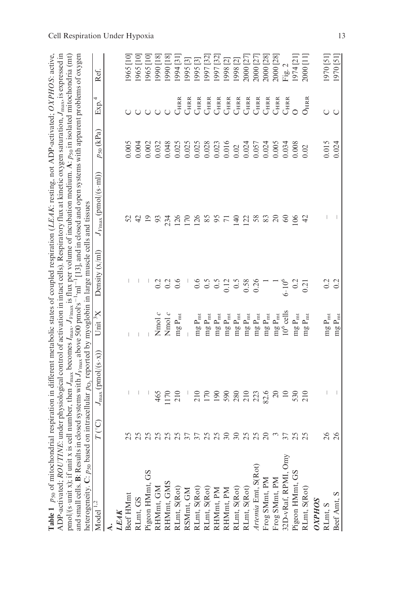| Table 1 $p_{50}$ of mitochondrial respiration in different metabolic states of coupled respiration (LEAK: resting, not ADP-activated; OXPHOS: active,<br>ADP-activated; ROUT                                                                                                                                       |                         |                                                                                                                                                                                                                                                                                                                     |                                     |                 | NE: under physiological control of activation in intact cells). Respiratory flux at kinetic oxygen saturation, $J_{\rm max}$ , is expressed in |                                                                 |                             |           |
|--------------------------------------------------------------------------------------------------------------------------------------------------------------------------------------------------------------------------------------------------------------------------------------------------------------------|-------------------------|---------------------------------------------------------------------------------------------------------------------------------------------------------------------------------------------------------------------------------------------------------------------------------------------------------------------|-------------------------------------|-----------------|------------------------------------------------------------------------------------------------------------------------------------------------|-----------------------------------------------------------------|-----------------------------|-----------|
| pmol/(s-unit x); if unit x is cell number, then $J_{\text{max}}$ , becomes $I_{\text{max}}$ , $J_{\text{max}}$ is flux per volume of incubation medium. A: $p_{50}$ in isolated mitochondria (mt)                                                                                                                  |                         |                                                                                                                                                                                                                                                                                                                     |                                     |                 |                                                                                                                                                |                                                                 |                             |           |
| and small cells. B: Results in closed systems with $J_{\text{Ymax}}$ above 500 pmol's <sup>-1</sup> :ml <sup>-1</sup> [13], and in closed and open systems with apparent problems of oxygen<br>heterogeneity. C: $p_{50}$ based on intracellular $p_{0}$ , reported by myoglobin in large muscle cells and tissues |                         |                                                                                                                                                                                                                                                                                                                     |                                     |                 |                                                                                                                                                |                                                                 |                             |           |
| Model <sup>1,2</sup>                                                                                                                                                                                                                                                                                               | $\Gamma(\rm ^{\circ}C)$ | $J_{\text{max}}$ (pmol/(s $\cdot$ x)                                                                                                                                                                                                                                                                                | Unit $X$                            | Density $(x/m)$ | $J_{V_{\text{max}}}(\text{pmol}/(\text{s}\cdot\text{ml}))$                                                                                     | $p_{50}$ (kPa)                                                  | 4<br>Exp.                   | Ref.      |
|                                                                                                                                                                                                                                                                                                                    |                         |                                                                                                                                                                                                                                                                                                                     |                                     |                 |                                                                                                                                                |                                                                 |                             |           |
| <b>LEAK</b>                                                                                                                                                                                                                                                                                                        |                         |                                                                                                                                                                                                                                                                                                                     |                                     |                 |                                                                                                                                                |                                                                 |                             |           |
| Beef HMmt                                                                                                                                                                                                                                                                                                          |                         |                                                                                                                                                                                                                                                                                                                     |                                     |                 |                                                                                                                                                | 0.005                                                           |                             | 965 [10]  |
|                                                                                                                                                                                                                                                                                                                    |                         |                                                                                                                                                                                                                                                                                                                     |                                     |                 |                                                                                                                                                | 0.004                                                           |                             | 965 [10]  |
|                                                                                                                                                                                                                                                                                                                    |                         |                                                                                                                                                                                                                                                                                                                     |                                     |                 |                                                                                                                                                | 0.002                                                           |                             | 965 [10]  |
|                                                                                                                                                                                                                                                                                                                    | 25                      | 465                                                                                                                                                                                                                                                                                                                 | Nmol $c$                            |                 | 93                                                                                                                                             | 0.032                                                           |                             | [81] 0661 |
|                                                                                                                                                                                                                                                                                                                    |                         |                                                                                                                                                                                                                                                                                                                     | Nmol c                              | $\sim$          | 234                                                                                                                                            | 0.048                                                           |                             | 990 [18]  |
| RLmt, GS<br>Pigeon HMmt, GS<br>RHMmt, GM<br>RHMmt, GMS<br>RLmt, S(Rot)<br>RLmt, S(Rot)<br>RLmt, S(Rot)<br>RHMmt, PM<br>RHMmt, PM<br>RHMmt, PM                                                                                                                                                                      | nnannanann              | $170$<br>$210$                                                                                                                                                                                                                                                                                                      | $mgP_{mt}$                          | 0.6             | 126                                                                                                                                            | 0.025                                                           | $C_{\rm HRR}$               | 1994 [31] |
|                                                                                                                                                                                                                                                                                                                    |                         |                                                                                                                                                                                                                                                                                                                     |                                     |                 | $\overline{170}$                                                                                                                               |                                                                 | C <sub>HRR</sub>            | 1995 [3]  |
|                                                                                                                                                                                                                                                                                                                    |                         |                                                                                                                                                                                                                                                                                                                     | $\rm mg\,P_{mt}$                    | 0.6             | 126                                                                                                                                            |                                                                 | $\mathrm{C}_{\mathrm{HRR}}$ | 1995 [3]  |
|                                                                                                                                                                                                                                                                                                                    |                         | $\frac{1}{2}$ $\frac{5}{2}$ $\frac{5}{2}$ $\frac{5}{2}$ $\frac{5}{2}$ $\frac{5}{2}$ $\frac{5}{2}$ $\frac{5}{2}$ $\frac{5}{2}$ $\frac{5}{2}$ $\frac{5}{2}$ $\frac{5}{2}$ $\frac{5}{2}$ $\frac{5}{2}$ $\frac{5}{2}$ $\frac{5}{2}$ $\frac{5}{2}$ $\frac{5}{2}$ $\frac{5}{2}$ $\frac{5}{2}$ $\frac{5}{2}$ $\frac{5}{2}$ | $\rm mg\,P_{mt}$                    | 0.5             | 5897                                                                                                                                           | $\begin{array}{c} 0.025 \\ 0.028 \\ 0.028 \\ 0.016 \end{array}$ | C <sub>HRR</sub>            | [32] [97] |
|                                                                                                                                                                                                                                                                                                                    |                         |                                                                                                                                                                                                                                                                                                                     | $\rm mg\,P_{mt}$                    |                 |                                                                                                                                                |                                                                 | $C_{\rm HRR}$               | 1997 [32] |
|                                                                                                                                                                                                                                                                                                                    |                         |                                                                                                                                                                                                                                                                                                                     | $\operatorname{mg}\nolimits P_{mt}$ | 0.12            |                                                                                                                                                |                                                                 | C <sub>HRR</sub>            | 1998 [2]  |
|                                                                                                                                                                                                                                                                                                                    |                         |                                                                                                                                                                                                                                                                                                                     | $\rm mg\,P_{mt}$                    | $\sim$          | $\overline{40}$                                                                                                                                | 0.02                                                            | $C_{\rm HRR}$               | 1998 [2]  |
|                                                                                                                                                                                                                                                                                                                    |                         |                                                                                                                                                                                                                                                                                                                     | $\rm mg\,P_{mt}$                    | 0.58            | $\overline{2}$                                                                                                                                 | 0.024                                                           | C <sub>HRR</sub>            | 2000 [27] |
| Artemia Emt, S(Rot)                                                                                                                                                                                                                                                                                                |                         |                                                                                                                                                                                                                                                                                                                     | $\rm mg\,P_{mt}$                    | 0.26            | 58                                                                                                                                             | 0.057                                                           | $C_{\rm HRR}$               | 2000 [27] |
|                                                                                                                                                                                                                                                                                                                    | $\infty$                |                                                                                                                                                                                                                                                                                                                     | $\rm mg\,P_{mt}$                    |                 | 83                                                                                                                                             | 0.024                                                           | C <sub>HRR</sub>            | 2000 [28] |
|                                                                                                                                                                                                                                                                                                                    |                         | $\overline{c}$                                                                                                                                                                                                                                                                                                      | $\rm mg\,P_{mt}$                    |                 | $\Omega$                                                                                                                                       | 0.005                                                           | C <sub>HRR</sub>            | 2000 [28] |
| Frog SMmt, PM<br>Frog SMmt, PM<br>32D-vRaf, RPMI, Omy                                                                                                                                                                                                                                                              | 37                      | $10\,$                                                                                                                                                                                                                                                                                                              | $106$ cells                         | $6.10^{6}$      | 8                                                                                                                                              | 0.034                                                           | C <sub>HRR</sub>            | Fig. 2    |
| Pigeon HMmt, GS                                                                                                                                                                                                                                                                                                    |                         | 530                                                                                                                                                                                                                                                                                                                 | $\rm mg\,P_{mt}$                    | 0.2             | $\geq$                                                                                                                                         | 0.008                                                           |                             | [974 [21] |
| RLmt, S(Rot)                                                                                                                                                                                                                                                                                                       | 25                      | 210                                                                                                                                                                                                                                                                                                                 | $mg P_{mt}$                         | 0.21            | 42                                                                                                                                             | 0.02                                                            | $O_{\rm HRR}$               | 2000 [11] |
| <b>OXPHOS</b>                                                                                                                                                                                                                                                                                                      |                         |                                                                                                                                                                                                                                                                                                                     |                                     |                 |                                                                                                                                                |                                                                 |                             |           |
| RLmt, S                                                                                                                                                                                                                                                                                                            | 26                      |                                                                                                                                                                                                                                                                                                                     | $\rm mg\,P_{mt}$                    | 0.2             |                                                                                                                                                | 0.015                                                           |                             | [[2] 0261 |
| Beef Amt, S                                                                                                                                                                                                                                                                                                        | $\approx$               |                                                                                                                                                                                                                                                                                                                     | $mg P_{mt}$                         | 0.2             |                                                                                                                                                | 0.024                                                           | $\circ$                     | [51] 070  |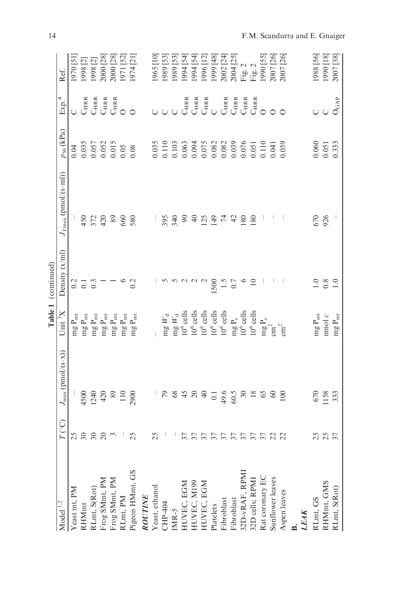|                                                                                                                                                 |                     |                                                |                                                                                                 | Table 1 (continued)                       |                                                            |                                                                                                                                                                                                                                                                                                     |                                      |                        |
|-------------------------------------------------------------------------------------------------------------------------------------------------|---------------------|------------------------------------------------|-------------------------------------------------------------------------------------------------|-------------------------------------------|------------------------------------------------------------|-----------------------------------------------------------------------------------------------------------------------------------------------------------------------------------------------------------------------------------------------------------------------------------------------------|--------------------------------------|------------------------|
| Model <sup>1,2</sup>                                                                                                                            | $T\, (^\circ\rm C)$ | $J_{\text{max}}(\text{pmol})(s \cdot x))$      | Unit ${}^3$ X                                                                                   | Density $(x/m)$                           | $J_{V_{\text{max}}}(\text{pmol}/(\text{s}\cdot\text{ml}))$ | $p_{50}$ (kPa)                                                                                                                                                                                                                                                                                      | 4<br>Exp.                            | Ref.                   |
| Yeast mt, PM                                                                                                                                    |                     |                                                | $mg P_{mt}$                                                                                     |                                           |                                                            |                                                                                                                                                                                                                                                                                                     |                                      | 1970 [51]              |
| RHMmt                                                                                                                                           | 258                 |                                                | $\rm mg\,P_{mt}$                                                                                | $\frac{3}{5}$ $\frac{1}{5}$ $\frac{3}{5}$ |                                                            |                                                                                                                                                                                                                                                                                                     |                                      |                        |
|                                                                                                                                                 |                     |                                                | $\rm mg\,P_{mt}$                                                                                |                                           | 450<br>372<br>420                                          |                                                                                                                                                                                                                                                                                                     |                                      | 1998 [2]<br>1998 [2]   |
|                                                                                                                                                 | $\approx$           |                                                | $\rm mg\,P_{mt}$                                                                                |                                           |                                                            |                                                                                                                                                                                                                                                                                                     |                                      | 2000 [28]              |
|                                                                                                                                                 |                     | $4500$<br>1240<br>420<br>420<br>110<br>10290   | $\rm mg\,P_{mt}$                                                                                |                                           | 89                                                         | $\begin{array}{c} 0.04 \\ 0.035 \\ 0.057 \\ 0.057 \\ 0.015 \\ 0.015 \\ 0.005 \\ 0.008 \end{array}$                                                                                                                                                                                                  | CHRIA<br>CHRIA<br>CHRIA<br>O         | 2000 [28]<br>1971 [52] |
|                                                                                                                                                 |                     |                                                | $\rm mg\,P_{mt}$                                                                                |                                           | 660                                                        |                                                                                                                                                                                                                                                                                                     |                                      |                        |
| $\begin{array}{l} \text {RLmt, S(Rot)}\\ \text {Frog SMmt, PM}\\ \text {Frog SMmt, PM}\\ \text {RLmt, PM}\\ \text {Pigen HMmt, GS} \end{array}$ | 25                  |                                                | $\rm mg\,P_{mt}$                                                                                | 0.2                                       | 580                                                        |                                                                                                                                                                                                                                                                                                     | $\circ$                              | 1974 [21]              |
| $\begin{array}{c} \textit{ROUTINE} \\ \textit{Yeast}, \textit{ethanol} \\ \textit{CHP-404} \\ \textit{IMR-5} \end{array}$                       |                     |                                                |                                                                                                 |                                           |                                                            |                                                                                                                                                                                                                                                                                                     |                                      |                        |
|                                                                                                                                                 | 25                  |                                                |                                                                                                 |                                           |                                                            |                                                                                                                                                                                                                                                                                                     |                                      | 965 [10]               |
|                                                                                                                                                 |                     |                                                | mg $W_{\rm d}$                                                                                  |                                           | 395                                                        |                                                                                                                                                                                                                                                                                                     |                                      | 1989 [53]              |
|                                                                                                                                                 |                     |                                                |                                                                                                 |                                           | 340                                                        |                                                                                                                                                                                                                                                                                                     |                                      | 1989 [53]              |
|                                                                                                                                                 |                     |                                                |                                                                                                 |                                           | $\infty$                                                   |                                                                                                                                                                                                                                                                                                     |                                      | 1994 [54]              |
| HUVEC, EGM<br>HUVEC, M199<br>HUVEC, EGM<br>Platelets<br>Fibroblast<br>Fibroblast<br>S2D-vRAF, RPMI<br>32D cells; RPMI                           | $\overline{37}$     | 5842                                           | mg $W_{\rm d}$<br>10 <sup>6</sup> cells<br>10 <sup>6</sup> cells                                |                                           | $\triangleq$                                               | $\begin{array}{l} 0.035 \\ 0.110 \\ 0.110 \\ 0.003 \\ 0.000 \\ 0.000 \\ 0.000 \\ 0.000 \\ 0.000 \\ 0.000 \\ 0.000 \\ 0.000 \\ 0.000 \\ 0.000 \\ 0.000 \\ 0.000 \\ 0.000 \\ 0.000 \\ 0.000 \\ 0.000 \\ 0.000 \\ 0.000 \\ 0.000 \\ 0.000 \\ 0.000 \\ 0.000 \\ 0.000 \\ 0.000 \\ 0.000 \\ 0.000 \\ 0.$ | CHRA<br>CHRA<br>CHRA<br>CHRA<br>CHRA | 1994 [54]              |
|                                                                                                                                                 |                     | $\Theta$                                       | $10^6$ cells<br>$10^6$ cells                                                                    |                                           | 125                                                        |                                                                                                                                                                                                                                                                                                     |                                      | 1996 [12]              |
|                                                                                                                                                 |                     |                                                |                                                                                                 |                                           | 149                                                        |                                                                                                                                                                                                                                                                                                     |                                      | [87] 6661              |
|                                                                                                                                                 |                     |                                                | $10^6$ cells                                                                                    | $\frac{1500}{1.5}$                        | $\mathcal{L}$                                              |                                                                                                                                                                                                                                                                                                     |                                      | 2002 [24]              |
|                                                                                                                                                 |                     |                                                |                                                                                                 |                                           | 42                                                         |                                                                                                                                                                                                                                                                                                     |                                      | 2004 [25]              |
|                                                                                                                                                 |                     |                                                | $\begin{array}{l} \mbox{mg P}_\mathrm{c}\\ 10^6\,\mbox{cells}\\ 10^6\,\mbox{cells} \end{array}$ |                                           | 180                                                        |                                                                                                                                                                                                                                                                                                     |                                      |                        |
|                                                                                                                                                 | Errereren           | $-3.5$<br>$-4.5$<br>$-5.5$<br>$-5.5$<br>$-5.5$ |                                                                                                 |                                           | 180                                                        |                                                                                                                                                                                                                                                                                                     | $C_{\rm HRR}$                        | Fig. 2<br>Fig. 2       |
| Rat coronary EC<br>Sunflower leaves                                                                                                             |                     |                                                |                                                                                                 |                                           |                                                            |                                                                                                                                                                                                                                                                                                     |                                      | [52] 1990              |
|                                                                                                                                                 |                     | 60                                             | $\mathop{\rm{mg}}\nolimits^{\rm P_{\rm c}}$                                                     |                                           |                                                            |                                                                                                                                                                                                                                                                                                     |                                      | 2007 [26]              |
| Aspen leaves                                                                                                                                    |                     | 100                                            | $\text{cm}^2$                                                                                   |                                           |                                                            |                                                                                                                                                                                                                                                                                                     |                                      | 2007 [26]              |
|                                                                                                                                                 |                     |                                                |                                                                                                 |                                           |                                                            |                                                                                                                                                                                                                                                                                                     |                                      |                        |
| LEAK                                                                                                                                            |                     |                                                |                                                                                                 |                                           |                                                            |                                                                                                                                                                                                                                                                                                     |                                      |                        |
| RLmt, GS                                                                                                                                        |                     |                                                | $\rm mg\,P_{mt}$                                                                                |                                           | 670                                                        |                                                                                                                                                                                                                                                                                                     |                                      | [98] 886]              |
|                                                                                                                                                 | 25<br>25<br>37      | $670$<br>$158$<br>$33$                         | nmol $\boldsymbol{c}$                                                                           | $\frac{8}{1.0}$                           | 926                                                        | 0.060<br>0.051<br>0.333                                                                                                                                                                                                                                                                             | $\circ$                              | 1990 [18]<br>2007 [38] |
| RHMmt, GMS<br>RLmt, S(Rot)                                                                                                                      |                     |                                                | mg $\mathbf{P}_{\text{mt}}$                                                                     |                                           |                                                            |                                                                                                                                                                                                                                                                                                     | $O_{\rm GAP}$                        |                        |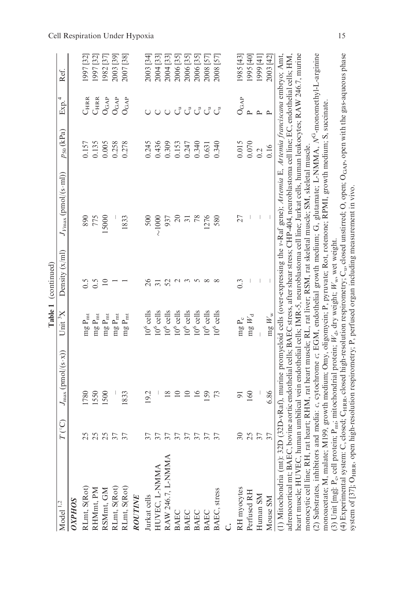|                                                                                                                                                    |                          |                                                                                   |                         | Table 1 (continued) |                                                                                                                                             |                |                    |              |
|----------------------------------------------------------------------------------------------------------------------------------------------------|--------------------------|-----------------------------------------------------------------------------------|-------------------------|---------------------|---------------------------------------------------------------------------------------------------------------------------------------------|----------------|--------------------|--------------|
| Model $1,2$                                                                                                                                        | $T^{\circ}$ C)           | $J_{\text{max}}(\text{pmol})(s \cdot x))$                                         | Unit $X$                | Density $(x/m)$     | $J_{V_{\text{max}}}(\text{pmol}/(s \cdot \text{ml}))$                                                                                       | $p_{50}$ (kPa) | Exp. <sup>4</sup>  | Ref.         |
| <b>OXPHOS</b>                                                                                                                                      |                          |                                                                                   |                         |                     |                                                                                                                                             |                |                    |              |
| RLmt, S(Rot)                                                                                                                                       | 25                       | 780                                                                               | $\rm mg\,P_{mt}$        |                     | 890                                                                                                                                         | 0.157          | C <sub>hrr</sub>   | [32]<br> 997 |
| RHMmt, PM                                                                                                                                          |                          | 1550                                                                              | $mg P_{mt}$             | 0.5                 | 775                                                                                                                                         | 0.135          | C <sub>HRR</sub>   | [32]<br>[32] |
| RSMmt, GM<br>RLmt, S(Rot)                                                                                                                          | 25                       | 1500                                                                              | $\rm mg\,P_{mt}$        | $\supseteq$         | 5000                                                                                                                                        | 0.005          | $O_{GAP}$          | [37] [39]    |
|                                                                                                                                                    | 37                       |                                                                                   | $\rm mg\,P_{mt}$        |                     |                                                                                                                                             | 0.258          | $O_{\rm GAP}$      | 2003 [39]    |
| RLmt, S(Rot)                                                                                                                                       | $\overline{\mathcal{E}}$ | 1833                                                                              | $\rm mg\,P_{mt}$        |                     | 1833                                                                                                                                        | 0.278          | $O_{\mathrm{GAP}}$ | 2007 [38]    |
| ROUTINE                                                                                                                                            |                          |                                                                                   |                         |                     |                                                                                                                                             |                |                    |              |
| Jurkat cells                                                                                                                                       |                          | 19.2                                                                              | $106$ cells             |                     | 500                                                                                                                                         | 0.245          |                    | 2003 [34]    |
| HUVEC, L-NMMA                                                                                                                                      | 57                       |                                                                                   | $10^6$ cells            | $\overline{31}$     | $\approx 1000$                                                                                                                              | 0.436          |                    | 2004 [33]    |
| RAW 246.7, L-NMMA                                                                                                                                  | 57                       | 18                                                                                | $10^6$ cells            | 52                  | 937                                                                                                                                         | 0.309          | $\overline{C}$     | 2004 [33]    |
| <b>BAEC</b>                                                                                                                                        | 37                       | $\supseteq$                                                                       | $10^6$ cells            | $\sim$              | $\approx$                                                                                                                                   | 0.153          | ්                  | 2006 [35]    |
| <b>BAEC</b>                                                                                                                                        | 57                       | $\overline{10}$                                                                   | $10^6$ cells            |                     | $\overline{5}$                                                                                                                              | 0.247          |                    | 2006 [35]    |
| <b>BAEC</b>                                                                                                                                        | 37                       | 16                                                                                | $10^6$ cells            | $\Omega$            | 78                                                                                                                                          | 0.340          | ರೆ ರೆ ರೆ           | 2006 [35]    |
| <b>BAEC</b>                                                                                                                                        | 57                       | 159                                                                               | $10^6$ cells            | $\infty$            | 1276                                                                                                                                        | 0.631          |                    | 2008 [57]    |
| BAEC, stress                                                                                                                                       | 37                       |                                                                                   | cells<br>$\int_0^6$     |                     | 580                                                                                                                                         | 0.340          | $\zeta$            | 2008 [57]    |
|                                                                                                                                                    |                          |                                                                                   |                         |                     |                                                                                                                                             |                |                    |              |
| RH myocytes                                                                                                                                        | $\approx$                | $\overline{5}$                                                                    | mg $\mathbf{P}_{\rm c}$ | $0.\overline{3}$    | 27                                                                                                                                          | 0.015          | $O_{\mathrm{GAP}}$ | 1985 [43]    |
| Perfused RH                                                                                                                                        | 25                       | 160                                                                               | $mgW_d$                 |                     |                                                                                                                                             | $0.070\,$      | $\sim$             | [04] 5661    |
| Human SM                                                                                                                                           | 37                       |                                                                                   |                         |                     |                                                                                                                                             | 0.2            | $\mathbf{p}$       | 1999 [41]    |
| Mouse SM                                                                                                                                           | 37                       | 6.86                                                                              | $mgW_w$                 |                     |                                                                                                                                             | 0.16           | $\mathsf{p}$       | 2003 [42]    |
| (1) Mitochondria (mt):                                                                                                                             |                          |                                                                                   |                         |                     | 32D (32D-vRaf), murine promyeloid cells (over-expressing the v-Raf gene); <i>Artemia E, Artemia franciscana</i> embryo; Amt,                |                |                    |              |
| adrenocortical mt; BAE                                                                                                                             |                          |                                                                                   |                         |                     | C, bovine aortic endothelial cells, BAEC stress, after shear stress; CHP-404, neuroblastoma cell line; EC, endothelial cells; HM,           |                |                    |              |
| monocytic cell line; RH, rat heart; RHM, rat heart muscle; RL, rat liver; RSM, rat skeletal muscle; SM, skeletal muscle.<br>heart muscle; HUVEC, 1 |                          |                                                                                   |                         |                     | human umbilical vein endothelial cells; IMR-5, neuroblastoma cell line; Jurkat cells, human leukocytes; RAW 246.7, murine                   |                |                    |              |
| (2) Substrates, inhibitors and media: c, cytochrome c; EGM, endothelial growth medium; G, glutamate; L-NMMA, N <sup>G</sup> -monomethyl-L-arginine |                          |                                                                                   |                         |                     |                                                                                                                                             |                |                    |              |
| monoacetate; M, malate; M199, growth medium; Omy, oligomycin; P, pyruvate; Rot, rotenone; RPMI, growth medium; S, succinate                        |                          |                                                                                   |                         |                     |                                                                                                                                             |                |                    |              |
| (3) Unit [mg]: $P_c$ , cell protein; $P_{\text{mis}}$ ; mitochondrial protein; $W_{cb}$ , dry weight; $W_{w}$ , wet weight.                        |                          |                                                                                   |                         |                     |                                                                                                                                             |                |                    |              |
| (4) Experimental system:<br>system of [37]; O <sub>HRR</sub> , op                                                                                  |                          | oen high-resolution respirometry; P, perfused organ including measurement in vivo |                         |                     | C, closed: $C_{HRR}$ , closed high-resolution respirometry; $C_{in}$ closed unstirred; O, open; $O_{GAP}$ , open with the gas-aqueous phase |                |                    |              |

Cell Respiration Under Hypoxia 15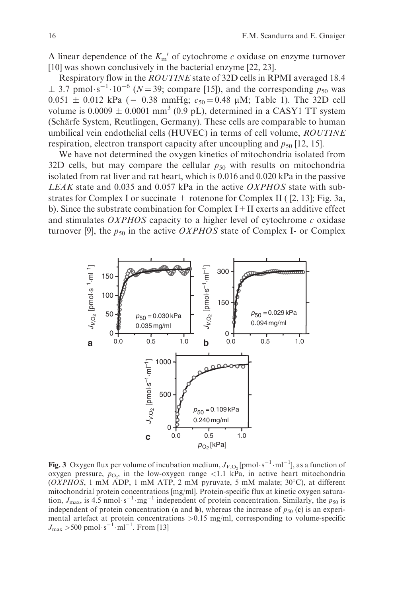A linear dependence of the  $K_{m}$ <sup>'</sup> of cytochrome c oxidase on enzyme turnover [10] was shown conclusively in the bacterial enzyme [22, 23].

Respiratory flow in the ROUTINE state of 32D cells in RPMI averaged 18.4  $\pm$  3.7 pmol·s<sup>-1</sup>·10<sup>-6</sup> (*N* = 39; compare [15]), and the corresponding  $p_{50}$  was  $0.051 \pm 0.012$  kPa (= 0.38 mmHg;  $c_{50} = 0.48$  µM; Table 1). The 32D cell volume is  $0.0009 \pm 0.0001$  mm<sup>3</sup> (0.9 pL), determined in a CASY1 TT system (Schärfe System, Reutlingen, Germany). These cells are comparable to human umbilical vein endothelial cells (HUVEC) in terms of cell volume, ROUTINE respiration, electron transport capacity after uncoupling and  $p_{50}$  [12, 15].

We have not determined the oxygen kinetics of mitochondria isolated from 32D cells, but may compare the cellular  $p_{50}$  with results on mitochondria isolated from rat liver and rat heart, which is 0.016 and 0.020 kPa in the passive LEAK state and 0.035 and 0.057 kPa in the active OXPHOS state with substrates for Complex I or succinate  $+$  rotenone for Complex II ( [2, 13]; Fig. 3a, b). Since the substrate combination for Complex  $I + II$  exerts an additive effect and stimulates OXPHOS capacity to a higher level of cytochrome c oxidase turnover [9], the  $p_{50}$  in the active *OXPHOS* state of Complex I- or Complex



**Fig. 3** Oxygen flux per volume of incubation medium,  $J_{V,O_2}$  [pmol·s<sup>-1</sup>·ml<sup>-1</sup>], as a function of oxygen pressure,  $p_{\text{O}_2}$ , in the low-oxygen range <1.1 kPa, in active heart mitochondria (OXPHOS, 1 mM ADP, 1 mM ATP, 2 mM pyruvate, 5 mM malate;  $30^{\circ}$ C), at different mitochondrial protein concentrations [mg/ml]. Protein-specific flux at kinetic oxygen saturation,  $J_{\text{max}}$ , is 4.5 nmol $\cdot$ s<sup>-1</sup> $\cdot$ mg<sup>-1</sup> independent of protein concentration. Similarly, the  $p_{50}$  is independent of protein concentration (a and b), whereas the increase of  $p_{50}$  (c) is an experimental artefact at protein concentrations  $>0.15$  mg/ml, corresponding to volume-specific  $J_{\text{max}} > 500 \text{ pmol} \cdot \text{s}^{-1} \cdot \text{ml}^{-1}$ . From [13]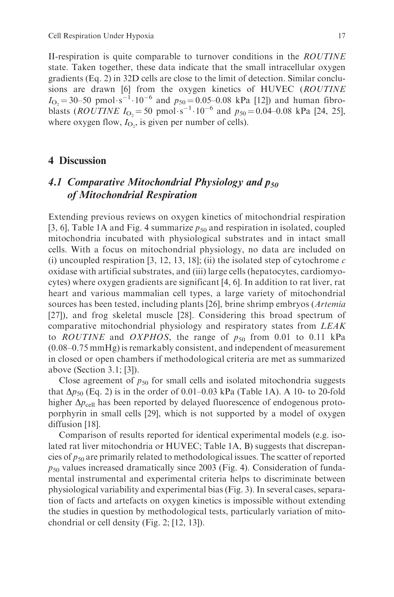II-respiration is quite comparable to turnover conditions in the ROUTINE state. Taken together, these data indicate that the small intracellular oxygen gradients (Eq. 2) in 32D cells are close to the limit of detection. Similar conclusions are drawn [6] from the oxygen kinetics of HUVEC (ROUTINE  $I_{\text{O}_2}$  = 30–50 pmol·s<sup>-1</sup>·10<sup>-6</sup> and  $p_{50}$  = 0.05–0.08 kPa [12]) and human fibroblasts (*ROUTINE*  $I_{\text{O}_2} = 50 \text{ pmol} \cdot \text{s}^{-1} \cdot 10^{-6}$  and  $p_{50} = 0.04 - 0.08 \text{ kPa}$  [24, 25], where oxygen flow,  $I_{\text{O}_2}$ , is given per number of cells).

#### 4 Discussion

## 4.1 Comparative Mitochondrial Physiology and  $p_{50}$ of Mitochondrial Respiration

Extending previous reviews on oxygen kinetics of mitochondrial respiration [3, 6], Table 1A and Fig. 4 summarize  $p_{50}$  and respiration in isolated, coupled mitochondria incubated with physiological substrates and in intact small cells. With a focus on mitochondrial physiology, no data are included on (i) uncoupled respiration [3, 12, 13, 18]; (ii) the isolated step of cytochrome  $c$ oxidase with artificial substrates, and (iii) large cells (hepatocytes, cardiomyocytes) where oxygen gradients are significant [4, 6]. In addition to rat liver, rat heart and various mammalian cell types, a large variety of mitochondrial sources has been tested, including plants [26], brine shrimp embryos (*Artemia*) [27]), and frog skeletal muscle [28]. Considering this broad spectrum of comparative mitochondrial physiology and respiratory states from LEAK to *ROUTINE* and *OXPHOS*, the range of  $p_{50}$  from 0.01 to 0.11 kPa (0.08–0.75 mmHg) is remarkably consistent, and independent of measurement in closed or open chambers if methodological criteria are met as summarized above (Section 3.1; [3]).

Close agreement of  $p_{50}$  for small cells and isolated mitochondria suggests that  $\Delta p_{50}$  (Eq. 2) is in the order of 0.01–0.03 kPa (Table 1A). A 10- to 20-fold higher  $\Delta p_{cell}$  has been reported by delayed fluorescence of endogenous protoporphyrin in small cells [29], which is not supported by a model of oxygen diffusion [18].

Comparison of results reported for identical experimental models (e.g. isolated rat liver mitochondria or HUVEC; Table 1A, B) suggests that discrepancies of  $p_{50}$  are primarily related to methodological issues. The scatter of reported  $p_{50}$  values increased dramatically since 2003 (Fig. 4). Consideration of fundamental instrumental and experimental criteria helps to discriminate between physiological variability and experimental bias (Fig. 3). In several cases, separation of facts and artefacts on oxygen kinetics is impossible without extending the studies in question by methodological tests, particularly variation of mitochondrial or cell density (Fig. 2; [12, 13]).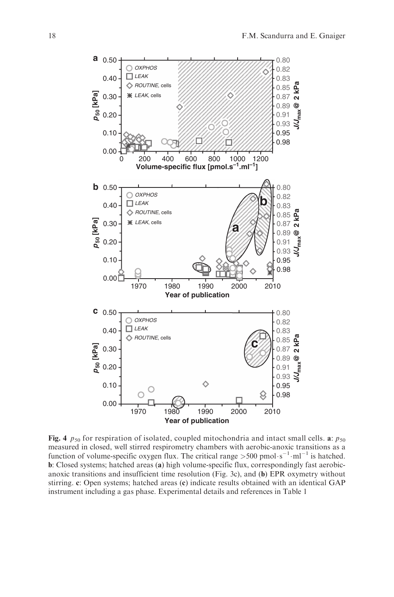

Fig. 4  $p_{50}$  for respiration of isolated, coupled mitochondria and intact small cells. a:  $p_{50}$ measured in closed, well stirred respirometry chambers with aerobic-anoxic transitions as a function of volume-specific oxygen flux. The critical range  $> 500$  pmol·s<sup>-1</sup>·ml<sup>-1</sup> is hatched. b: Closed systems; hatched areas (a) high volume-specific flux, correspondingly fast aerobicanoxic transitions and insufficient time resolution (Fig. 3c), and (b) EPR oxymetry without stirring. c: Open systems; hatched areas (c) indicate results obtained with an identical GAP instrument including a gas phase. Experimental details and references in Table 1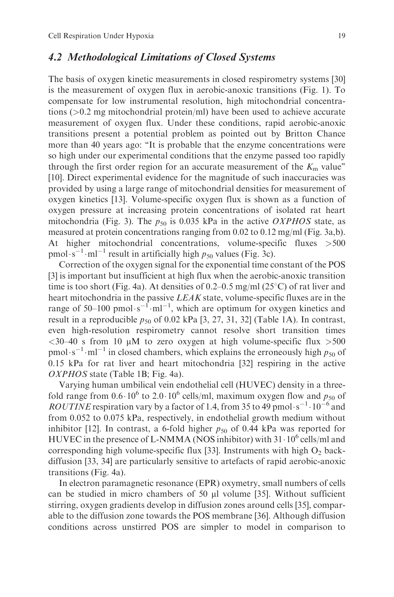#### 4.2 Methodological Limitations of Closed Systems

The basis of oxygen kinetic measurements in closed respirometry systems [30] is the measurement of oxygen flux in aerobic-anoxic transitions (Fig. 1). To compensate for low instrumental resolution, high mitochondrial concentrations (>0.2 mg mitochondrial protein/ml) have been used to achieve accurate measurement of oxygen flux. Under these conditions, rapid aerobic-anoxic transitions present a potential problem as pointed out by Britton Chance more than 40 years ago: "It is probable that the enzyme concentrations were so high under our experimental conditions that the enzyme passed too rapidly through the first order region for an accurate measurement of the  $K<sub>m</sub>$  value" [10]. Direct experimental evidence for the magnitude of such inaccuracies was provided by using a large range of mitochondrial densities for measurement of oxygen kinetics [13]. Volume-specific oxygen flux is shown as a function of oxygen pressure at increasing protein concentrations of isolated rat heart mitochondria (Fig. 3). The  $p_{50}$  is 0.035 kPa in the active *OXPHOS* state, as measured at protein concentrations ranging from 0.02 to 0.12 mg/ml (Fig. 3a,b). At higher mitochondrial concentrations, volume-specific fluxes >500 pmol·s<sup>-1</sup>·ml<sup>-1</sup> result in artificially high  $p_{50}$  values (Fig. 3c).

Correction of the oxygen signal for the exponential time constant of the POS [3] is important but insufficient at high flux when the aerobic-anoxic transition time is too short (Fig. 4a). At densities of 0.2–0.5 mg/ml (25 $^{\circ}$ C) of rat liver and heart mitochondria in the passive LEAK state, volume-specific fluxes are in the range of 50–100 pmol $\cdot$ s<sup>-1</sup> $\cdot$ ml<sup>-1</sup>, which are optimum for oxygen kinetics and result in a reproducible  $p_{50}$  of 0.02 kPa [3, 27, 31, 32] (Table 1A). In contrast, even high-resolution respirometry cannot resolve short transition times  $<30-40$  s from 10 µM to zero oxygen at high volume-specific flux  $>500$ pmol·s<sup>-1</sup>·ml<sup>-1</sup> in closed chambers, which explains the erroneously high  $p_{50}$  of 0.15 kPa for rat liver and heart mitochondria [32] respiring in the active OXPHOS state (Table 1B; Fig. 4a).

Varying human umbilical vein endothelial cell (HUVEC) density in a threefold range from  $0.6 \cdot 10^6$  to  $2.0 \cdot 10^6$  cells/ml, maximum oxygen flow and  $p_{50}$  of ROUTINE respiration vary by a factor of 1.4, from 35 to 49 pmol $\cdot$ s<sup>-1</sup> $\cdot$ 10<sup>-6</sup> and from 0.052 to 0.075 kPa, respectively, in endothelial growth medium without inhibitor [12]. In contrast, a 6-fold higher  $p_{50}$  of 0.44 kPa was reported for HUVEC in the presence of L-NMMA (NOS inhibitor) with  $31 \cdot 10^6$  cells/ml and corresponding high volume-specific flux [33]. Instruments with high  $O_2$  backdiffusion [33, 34] are particularly sensitive to artefacts of rapid aerobic-anoxic transitions (Fig. 4a).

In electron paramagnetic resonance (EPR) oxymetry, small numbers of cells can be studied in micro chambers of 50 µl volume [35]. Without sufficient stirring, oxygen gradients develop in diffusion zones around cells [35], comparable to the diffusion zone towards the POS membrane [36]. Although diffusion conditions across unstirred POS are simpler to model in comparison to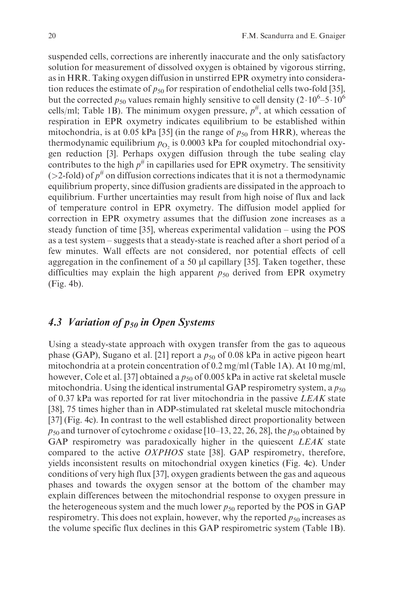suspended cells, corrections are inherently inaccurate and the only satisfactory solution for measurement of dissolved oxygen is obtained by vigorous stirring, as in HRR. Taking oxygen diffusion in unstirred EPR oxymetry into consideration reduces the estimate of  $p_{50}$  for respiration of endothelial cells two-fold [35], but the corrected  $p_{50}$  values remain highly sensitive to cell density  $(2 \cdot 10^6 - 5 \cdot 10^6$ cells/ml; Table 1B). The minimum oxygen pressure,  $p^{\#}$ , at which cessation of respiration in EPR oxymetry indicates equilibrium to be established within mitochondria, is at 0.05 kPa [35] (in the range of  $p_{50}$  from HRR), whereas the thermodynamic equilibrium  $p_{\text{O}_2}$  is 0.0003 kPa for coupled mitochondrial oxygen reduction [3]. Perhaps oxygen diffusion through the tube sealing clay contributes to the high  $p^{\#}$  in capillaries used for EPR oxymetry. The sensitivity ( $>2$ -fold) of  $p^{\#}$  on diffusion corrections indicates that it is not a thermodynamic equilibrium property, since diffusion gradients are dissipated in the approach to equilibrium. Further uncertainties may result from high noise of flux and lack of temperature control in EPR oxymetry. The diffusion model applied for correction in EPR oxymetry assumes that the diffusion zone increases as a steady function of time [35], whereas experimental validation – using the POS as a test system – suggests that a steady-state is reached after a short period of a few minutes. Wall effects are not considered, nor potential effects of cell aggregation in the confinement of a 50  $\mu$ l capillary [35]. Taken together, these difficulties may explain the high apparent  $p_{50}$  derived from EPR oxymetry (Fig. 4b).

### 4.3 Variation of  $p_{50}$  in Open Systems

Using a steady-state approach with oxygen transfer from the gas to aqueous phase (GAP), Sugano et al. [21] report a  $p_{50}$  of 0.08 kPa in active pigeon heart mitochondria at a protein concentration of 0.2 mg/ml (Table 1A). At 10 mg/ml, however, Cole et al. [37] obtained a  $p_{50}$  of 0.005 kPa in active rat skeletal muscle mitochondria. Using the identical instrumental GAP respirometry system, a  $p_{50}$ of 0.37 kPa was reported for rat liver mitochondria in the passive LEAK state [38], 75 times higher than in ADP-stimulated rat skeletal muscle mitochondria [37] (Fig. 4c). In contrast to the well established direct proportionality between  $p_{50}$  and turnover of cytochrome c oxidase [10–13, 22, 26, 28], the  $p_{50}$  obtained by GAP respirometry was paradoxically higher in the quiescent LEAK state compared to the active OXPHOS state [38]. GAP respirometry, therefore, yields inconsistent results on mitochondrial oxygen kinetics (Fig. 4c). Under conditions of very high flux [37], oxygen gradients between the gas and aqueous phases and towards the oxygen sensor at the bottom of the chamber may explain differences between the mitochondrial response to oxygen pressure in the heterogeneous system and the much lower  $p_{50}$  reported by the POS in GAP respirometry. This does not explain, however, why the reported  $p_{50}$  increases as the volume specific flux declines in this GAP respirometric system (Table 1B).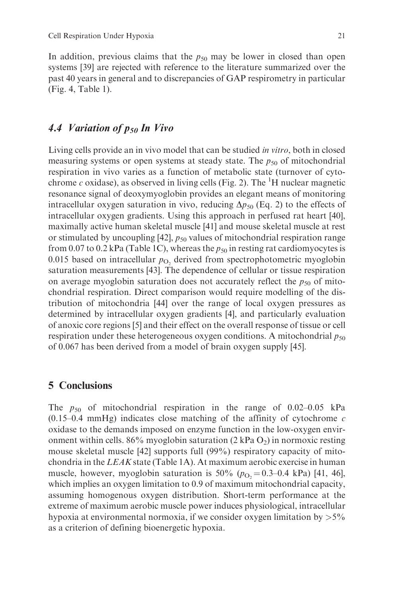In addition, previous claims that the  $p_{50}$  may be lower in closed than open systems [39] are rejected with reference to the literature summarized over the past 40 years in general and to discrepancies of GAP respirometry in particular (Fig. 4, Table 1).

## 4.4 Variation of  $p_{50}$  In Vivo

Living cells provide an in vivo model that can be studied *in vitro*, both in closed measuring systems or open systems at steady state. The  $p_{50}$  of mitochondrial respiration in vivo varies as a function of metabolic state (turnover of cytochrome c oxidase), as observed in living cells (Fig. 2). The  ${}^{1}H$  nuclear magnetic resonance signal of deoxymyoglobin provides an elegant means of monitoring intracellular oxygen saturation in vivo, reducing  $\Delta p_{50}$  (Eq. 2) to the effects of intracellular oxygen gradients. Using this approach in perfused rat heart [40], maximally active human skeletal muscle [41] and mouse skeletal muscle at rest or stimulated by uncoupling [42],  $p_{50}$  values of mitochondrial respiration range from 0.07 to 0.2 kPa (Table 1C), whereas the  $p_{50}$  in resting rat cardiomyocytes is 0.015 based on intracellular  $p_{\text{O}_2}$  derived from spectrophotometric myoglobin saturation measurements [43]. The dependence of cellular or tissue respiration on average myoglobin saturation does not accurately reflect the  $p_{50}$  of mitochondrial respiration. Direct comparison would require modelling of the distribution of mitochondria [44] over the range of local oxygen pressures as determined by intracellular oxygen gradients [4], and particularly evaluation of anoxic core regions [5] and their effect on the overall response of tissue or cell respiration under these heterogeneous oxygen conditions. A mitochondrial  $p_{50}$ of 0.067 has been derived from a model of brain oxygen supply [45].

#### 5 Conclusions

The  $p_{50}$  of mitochondrial respiration in the range of 0.02–0.05 kPa  $(0.15-0.4 \text{ mmHg})$  indicates close matching of the affinity of cytochrome c oxidase to the demands imposed on enzyme function in the low-oxygen environment within cells.  $86\%$  myoglobin saturation (2 kPa O<sub>2</sub>) in normoxic resting mouse skeletal muscle [42] supports full (99%) respiratory capacity of mitochondria in the LEAK state (Table 1A). At maximum aerobic exercise in human muscle, however, myoglobin saturation is 50% ( $p_{\text{O}_2} = 0.3{\text{-}}0.4$  kPa) [41, 46], which implies an oxygen limitation to 0.9 of maximum mitochondrial capacity, assuming homogenous oxygen distribution. Short-term performance at the extreme of maximum aerobic muscle power induces physiological, intracellular hypoxia at environmental normoxia, if we consider oxygen limitation by  $>5\%$ as a criterion of defining bioenergetic hypoxia.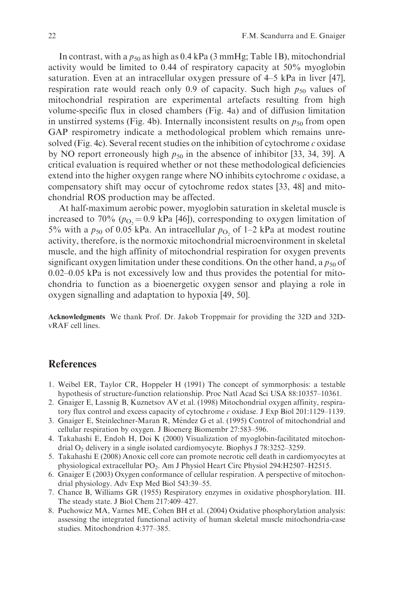In contrast, with a  $p_{50}$  as high as 0.4 kPa (3 mmHg; Table 1B), mitochondrial activity would be limited to 0.44 of respiratory capacity at 50% myoglobin saturation. Even at an intracellular oxygen pressure of 4–5 kPa in liver [47], respiration rate would reach only 0.9 of capacity. Such high  $p_{50}$  values of mitochondrial respiration are experimental artefacts resulting from high volume-specific flux in closed chambers (Fig. 4a) and of diffusion limitation in unstirred systems (Fig. 4b). Internally inconsistent results on  $p_{50}$  from open GAP respirometry indicate a methodological problem which remains unresolved (Fig. 4c). Several recent studies on the inhibition of cytochrome  $c$  oxidase by NO report erroneously high  $p_{50}$  in the absence of inhibitor [33, 34, 39]. A critical evaluation is required whether or not these methodological deficiencies extend into the higher oxygen range where NO inhibits cytochrome  $c$  oxidase, a compensatory shift may occur of cytochrome redox states [33, 48] and mitochondrial ROS production may be affected.

At half-maximum aerobic power, myoglobin saturation in skeletal muscle is increased to 70% ( $p_{\text{O}_2}$  = 0.9 kPa [46]), corresponding to oxygen limitation of 5% with a  $p_{50}$  of 0.05 kPa. An intracellular  $p_{\Omega}$  of 1–2 kPa at modest routine activity, therefore, is the normoxic mitochondrial microenvironment in skeletal muscle, and the high affinity of mitochondrial respiration for oxygen prevents significant oxygen limitation under these conditions. On the other hand, a  $p_{50}$  of 0.02–0.05 kPa is not excessively low and thus provides the potential for mitochondria to function as a bioenergetic oxygen sensor and playing a role in oxygen signalling and adaptation to hypoxia [49, 50].

Acknowledgments We thank Prof. Dr. Jakob Troppmair for providing the 32D and 32DvRAF cell lines.

#### **References**

- 1. Weibel ER, Taylor CR, Hoppeler H (1991) The concept of symmorphosis: a testable hypothesis of structure-function relationship. Proc Natl Acad Sci USA 88:10357–10361.
- 2. Gnaiger E, Lassnig B, Kuznetsov AV et al. (1998) Mitochondrial oxygen affinity, respiratory flux control and excess capacity of cytochrome  $c$  oxidase. J Exp Biol 201:1129–1139.
- 3. Gnaiger E, Steinlechner-Maran R, Méndez G et al. (1995) Control of mitochondrial and cellular respiration by oxygen. J Bioenerg Biomembr 27:583–596.
- 4. Takahashi E, Endoh H, Doi K (2000) Visualization of myoglobin-facilitated mitochondrial  $O<sub>2</sub>$  delivery in a single isolated cardiomyocyte. Biophys J 78:3252–3259.
- 5. Takahashi E (2008) Anoxic cell core can promote necrotic cell death in cardiomyocytes at physiological extracellular PO<sub>2</sub>. Am J Physiol Heart Circ Physiol 294:H2507-H2515.
- 6. Gnaiger E (2003) Oxygen conformance of cellular respiration. A perspective of mitochondrial physiology. Adv Exp Med Biol 543:39–55.
- 7. Chance B, Williams GR (1955) Respiratory enzymes in oxidative phosphorylation. III. The steady state. J Biol Chem 217:409–427.
- 8. Puchowicz MA, Varnes ME, Cohen BH et al. (2004) Oxidative phosphorylation analysis: assessing the integrated functional activity of human skeletal muscle mitochondria-case studies. Mitochondrion 4:377–385.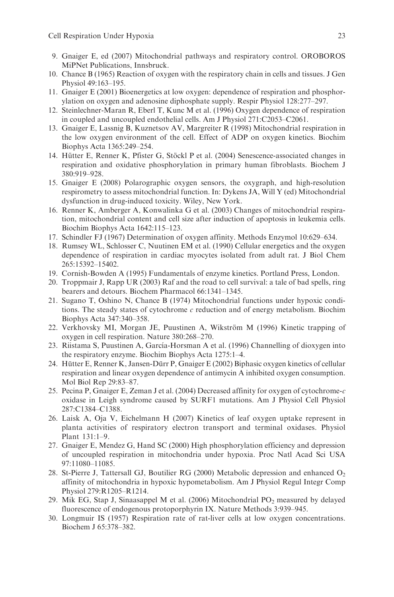- 9. Gnaiger E, ed (2007) Mitochondrial pathways and respiratory control. OROBOROS MiPNet Publications, Innsbruck.
- 10. Chance B (1965) Reaction of oxygen with the respiratory chain in cells and tissues. J Gen Physiol 49:163–195.
- 11. Gnaiger E (2001) Bioenergetics at low oxygen: dependence of respiration and phosphorylation on oxygen and adenosine diphosphate supply. Respir Physiol 128:277–297.
- 12. Steinlechner-Maran R, Eberl T, Kunc M et al. (1996) Oxygen dependence of respiration in coupled and uncoupled endothelial cells. Am J Physiol 271:C2053–C2061.
- 13. Gnaiger E, Lassnig B, Kuznetsov AV, Margreiter R (1998) Mitochondrial respiration in the low oxygen environment of the cell. Effect of ADP on oxygen kinetics. Biochim Biophys Acta 1365:249–254.
- 14. Hütter E, Renner K, Pfister G, Stöckl P et al. (2004) Senescence-associated changes in respiration and oxidative phosphorylation in primary human fibroblasts. Biochem J 380:919–928.
- 15. Gnaiger E (2008) Polarographic oxygen sensors, the oxygraph, and high-resolution respirometry to assess mitochondrial function. In: Dykens JA, Will Y (ed) Mitochondrial dysfunction in drug-induced toxicity. Wiley, New York.
- 16. Renner K, Amberger A, Konwalinka G et al. (2003) Changes of mitochondrial respiration, mitochondrial content and cell size after induction of apoptosis in leukemia cells. Biochim Biophys Acta 1642:115–123.
- 17. Schindler FJ (1967) Determination of oxygen affinity. Methods Enzymol 10:629–634.
- 18. Rumsey WL, Schlosser C, Nuutinen EM et al. (1990) Cellular energetics and the oxygen dependence of respiration in cardiac myocytes isolated from adult rat. J Biol Chem 265:15392–15402.
- 19. Cornish-Bowden A (1995) Fundamentals of enzyme kinetics. Portland Press, London.
- 20. Troppmair J, Rapp UR (2003) Raf and the road to cell survival: a tale of bad spells, ring bearers and detours. Biochem Pharmacol 66:1341–1345.
- 21. Sugano T, Oshino N, Chance B (1974) Mitochondrial functions under hypoxic conditions. The steady states of cytochrome  $c$  reduction and of energy metabolism. Biochim Biophys Acta 347:340–358.
- 22. Verkhovsky MI, Morgan JE, Puustinen A, Wikstrom M (1996) Kinetic trapping of ¨ oxygen in cell respiration. Nature 380:268–270.
- 23. Riistama S, Puustinen A, García-Horsman A et al. (1996) Channelling of dioxygen into the respiratory enzyme. Biochim Biophys Acta 1275:1–4.
- 24. Hütter E, Renner K, Jansen-Dürr P, Gnaiger E (2002) Biphasic oxygen kinetics of cellular respiration and linear oxygen dependence of antimycin A inhibited oxygen consumption. Mol Biol Rep 29:83–87.
- 25. Pecina P, Gnaiger E, Zeman J et al. (2004) Decreased affinity for oxygen of cytochrome-c oxidase in Leigh syndrome caused by SURF1 mutations. Am J Physiol Cell Physiol 287:C1384–C1388.
- 26. Laisk A, Oja V, Eichelmann H (2007) Kinetics of leaf oxygen uptake represent in planta activities of respiratory electron transport and terminal oxidases. Physiol Plant 131:1–9.
- 27. Gnaiger E, Mendez G, Hand SC (2000) High phosphorylation efficiency and depression of uncoupled respiration in mitochondria under hypoxia. Proc Natl Acad Sci USA 97:11080–11085.
- 28. St-Pierre J, Tattersall GJ, Boutilier RG (2000) Metabolic depression and enhanced  $O<sub>2</sub>$ affinity of mitochondria in hypoxic hypometabolism. Am J Physiol Regul Integr Comp Physiol 279:R1205–R1214.
- 29. Mik EG, Stap J, Sinaasappel M et al. (2006) Mitochondrial PO2 measured by delayed fluorescence of endogenous protoporphyrin IX. Nature Methods 3:939–945.
- 30. Longmuir IS (1957) Respiration rate of rat-liver cells at low oxygen concentrations. Biochem J 65:378–382.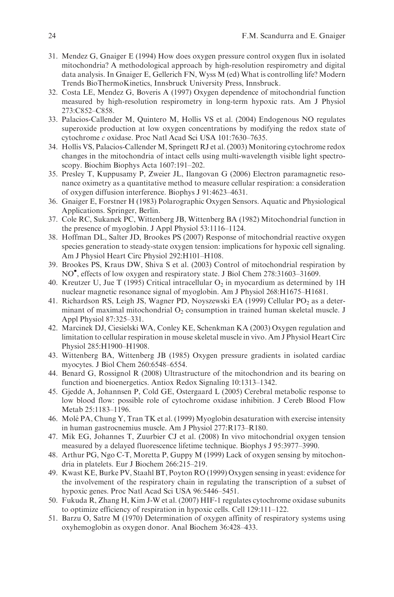- 31. Mendez G, Gnaiger E (1994) How does oxygen pressure control oxygen flux in isolated mitochondria? A methodological approach by high-resolution respirometry and digital data analysis. In Gnaiger E, Gellerich FN, Wyss M (ed) What is controlling life? Modern Trends BioThermoKinetics, Innsbruck University Press, Innsbruck.
- 32. Costa LE, Mendez G, Boveris A (1997) Oxygen dependence of mitochondrial function measured by high-resolution respirometry in long-term hypoxic rats. Am J Physiol 273:C852–C858.
- 33. Palacios-Callender M, Quintero M, Hollis VS et al. (2004) Endogenous NO regulates superoxide production at low oxygen concentrations by modifying the redox state of cytochrome c oxidase. Proc Natl Acad Sci USA 101:7630–7635.
- 34. Hollis VS, Palacios-Callender M, Springett RJ et al. (2003) Monitoring cytochrome redox changes in the mitochondria of intact cells using multi-wavelength visible light spectroscopy. Biochim Biophys Acta 1607:191–202.
- 35. Presley T, Kuppusamy P, Zweier JL, Ilangovan G (2006) Electron paramagnetic resonance oximetry as a quantitative method to measure cellular respiration: a consideration of oxygen diffusion interference. Biophys J 91:4623–4631.
- 36. Gnaiger E, Forstner H (1983) Polarographic Oxygen Sensors. Aquatic and Physiological Applications. Springer, Berlin.
- 37. Cole RC, Sukanek PC, Wittenberg JB, Wittenberg BA (1982) Mitochondrial function in the presence of myoglobin. J Appl Physiol 53:1116–1124.
- 38. Hoffman DL, Salter JD, Brookes PS (2007) Response of mitochondrial reactive oxygen species generation to steady-state oxygen tension: implications for hypoxic cell signaling. Am J Physiol Heart Circ Physiol 292:H101–H108.
- 39. Brookes PS, Kraus DW, Shiva S et al. (2003) Control of mitochondrial respiration by NO , effects of low oxygen and respiratory state. J Biol Chem 278:31603–31609.
- 40. Kreutzer U, Jue T (1995) Critical intracellular  $O<sub>2</sub>$  in myocardium as determined by 1H nuclear magnetic resonance signal of myoglobin. Am J Physiol 268:H1675–H1681.
- 41. Richardson RS, Leigh JS, Wagner PD, Noyszewski EA (1999) Cellular PO<sub>2</sub> as a determinant of maximal mitochondrial  $O_2$  consumption in trained human skeletal muscle. J Appl Physiol 87:325–331.
- 42. Marcinek DJ, Ciesielski WA, Conley KE, Schenkman KA (2003) Oxygen regulation and limitation to cellular respiration in mouse skeletal muscle in vivo. Am J Physiol Heart Circ Physiol 285:H1900–H1908.
- 43. Wittenberg BA, Wittenberg JB (1985) Oxygen pressure gradients in isolated cardiac myocytes. J Biol Chem 260:6548–6554.
- 44. Benard G, Rossignol R (2008) Ultrastructure of the mitochondrion and its bearing on function and bioenergetics. Antiox Redox Signaling 10:1313–1342.
- 45. Gjedde A, Johannsen P, Cold GE, Ostergaard L (2005) Cerebral metabolic response to low blood flow: possible role of cytochrome oxidase inhibition. J Cereb Blood Flow Metab 25:1183–1196.
- 46. Molé PA, Chung Y, Tran TK et al. (1999) Myoglobin desaturation with exercise intensity in human gastrocnemius muscle. Am J Physiol 277:R173–R180.
- 47. Mik EG, Johannes T, Zuurbier CJ et al. (2008) In vivo mitochondrial oxygen tension measured by a delayed fluorescence lifetime technique. Biophys J 95:3977–3990.
- 48. Arthur PG, Ngo C-T, Moretta P, Guppy M (1999) Lack of oxygen sensing by mitochondria in platelets. Eur J Biochem 266:215–219.
- 49. Kwast KE, Burke PV, Staahl BT, Poyton RO (1999) Oxygen sensing in yeast: evidence for the involvement of the respiratory chain in regulating the transcription of a subset of hypoxic genes. Proc Natl Acad Sci USA 96:5446–5451.
- 50. Fukuda R, Zhang H, Kim J-W et al. (2007) HIF-1 regulates cytochrome oxidase subunits to optimize efficiency of respiration in hypoxic cells. Cell 129:111–122.
- 51. Barzu O, Satre M (1970) Determination of oxygen affinity of respiratory systems using oxyhemoglobin as oxygen donor. Anal Biochem 36:428–433.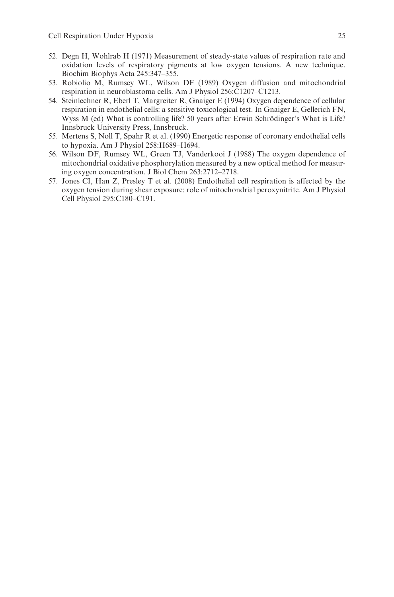- 52. Degn H, Wohlrab H (1971) Measurement of steady-state values of respiration rate and oxidation levels of respiratory pigments at low oxygen tensions. A new technique. Biochim Biophys Acta 245:347–355.
- 53. Robiolio M, Rumsey WL, Wilson DF (1989) Oxygen diffusion and mitochondrial respiration in neuroblastoma cells. Am J Physiol 256:C1207–C1213.
- 54. Steinlechner R, Eberl T, Margreiter R, Gnaiger E (1994) Oxygen dependence of cellular respiration in endothelial cells: a sensitive toxicological test. In Gnaiger E, Gellerich FN, Wyss M (ed) What is controlling life? 50 years after Erwin Schrödinger's What is Life? Innsbruck University Press, Innsbruck.
- 55. Mertens S, Noll T, Spahr R et al. (1990) Energetic response of coronary endothelial cells to hypoxia. Am J Physiol 258:H689–H694.
- 56. Wilson DF, Rumsey WL, Green TJ, Vanderkooi J (1988) The oxygen dependence of mitochondrial oxidative phosphorylation measured by a new optical method for measuring oxygen concentration. J Biol Chem 263:2712–2718.
- 57. Jones CI, Han Z, Presley T et al. (2008) Endothelial cell respiration is affected by the oxygen tension during shear exposure: role of mitochondrial peroxynitrite. Am J Physiol Cell Physiol 295:C180–C191.